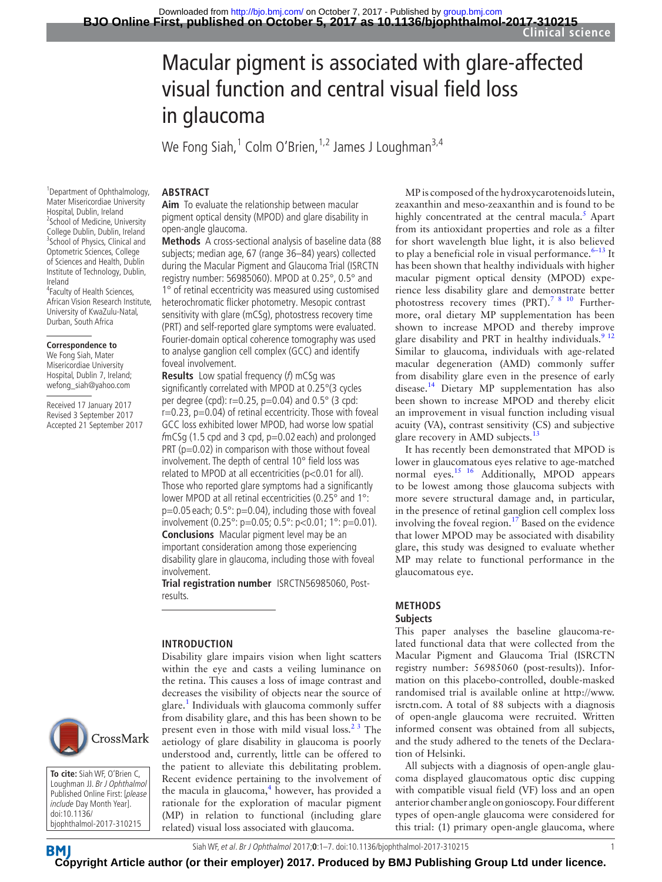**Clinical science**

# Macular pigment is associated with glare-affected visual function and central visual field loss in glaucoma

We Fong Siah, $^1$  Colm O'Brien, $^{1,2}$  James J Loughman $^{3,4}$ 

#### **Abstract**

1 Department of Ophthalmology, Mater Misericordiae University Hospital, Dublin, Ireland <sup>2</sup> School of Medicine, University College Dublin, Dublin, Ireland <sup>3</sup> School of Physics, Clinical and Optometric Sciences, College of Sciences and Health, Dublin Institute of Technology, Dublin, Ireland

4 Faculty of Health Sciences, African Vision Research Institute, University of KwaZulu-Natal, Durban, South Africa

#### **Correspondence to**

We Fong Siah, Mater Misericordiae University Hospital, Dublin 7, Ireland; wefong\_siah@yahoo.com

Received 17 January 2017 Revised 3 September 2017 Accepted 21 September 2017



**To cite:** Siah WF, O'Brien C, Loughman JJ. Br J Ophthalmol Published Online First: [please include Day Month Year]. doi:10.1136/ bjophthalmol-2017-310215

**Aim** To evaluate the relationship between macular pigment optical density (MPOD) and glare disability in open-angle glaucoma.

**Methods** A cross-sectional analysis of baseline data (88 subjects; median age, 67 (range 36–84) years) collected during the Macular Pigment and Glaucoma Trial (ISRCTN registry number: 56985060). MPOD at 0.25°, 0.5° and

1° of retinal eccentricity was measured using customised heterochromatic flicker photometry. Mesopic contrast sensitivity with glare (mCSg), photostress recovery time (PRT) and self-reported glare symptoms were evaluated. Fourier-domain optical coherence tomography was used to analyse ganglion cell complex (GCC) and identify foveal involvement.

**Results** Low spatial frequency (f) mCSg was significantly correlated with MPOD at 0.25°(3 cycles per degree (cpd):  $r=0.25$ ,  $p=0.04$ ) and  $0.5^{\circ}$  (3 cpd:  $r=0.23$ ,  $p=0.04$ ) of retinal eccentricity. Those with foveal GCC loss exhibited lower MPOD, had worse low spatial  $f$ mCSg (1.5 cpd and 3 cpd, p=0.02 each) and prolonged PRT ( $p=0.02$ ) in comparison with those without foveal involvement. The depth of central 10° field loss was related to MPOD at all eccentricities (p<0.01 for all). Those who reported glare symptoms had a significantly lower MPOD at all retinal eccentricities (0.25° and 1°: p=0.05 each; 0.5°: p=0.04), including those with foveal involvement (0.25°: p=0.05; 0.5°: p<0.01; 1°: p=0.01). **Conclusions** Macular pigment level may be an important consideration among those experiencing disability glare in glaucoma, including those with foveal involvement.

**Trial registration number** ISRCTN56985060, Postresults.

#### **Introduction**

Disability glare impairs vision when light scatters within the eye and casts a veiling luminance on the retina. This causes a loss of image contrast and decreases the visibility of objects near the source of glare.<sup>1</sup> Individuals with glaucoma commonly suffer from disability glare, and this has been shown to be present even in those with mild visual loss. $2^3$  The aetiology of glare disability in glaucoma is poorly understood and, currently, little can be offered to the patient to alleviate this debilitating problem. Recent evidence pertaining to the involvement of the macula in glaucoma,<sup>4</sup> however, has provided a rationale for the exploration of macular pigment (MP) in relation to functional (including glare related) visual loss associated with glaucoma.

MP is composed of the hydroxycarotenoids lutein, zeaxanthin and meso-zeaxanthin and is found to be highly concentrated at the central macula. $<sup>5</sup>$  $<sup>5</sup>$  $<sup>5</sup>$  Apart</sup> from its antioxidant properties and role as a filter for short wavelength blue light, it is also believed to play a beneficial role in visual performance. $6-13$  It has been shown that healthy individuals with higher macular pigment optical density (MPOD) experience less disability glare and demonstrate better photostress recovery times (PRT).<sup>7</sup> <sup>8</sup> <sup>10</sup> Furthermore, oral dietary MP supplementation has been shown to increase MPOD and thereby improve glare disability and PRT in healthy individuals.<sup>9</sup> <sup>12</sup> Similar to glaucoma, individuals with age-related macular degeneration (AMD) commonly suffer from disability glare even in the presence of early disease.<sup>14</sup> Dietary MP supplementation has also been shown to increase MPOD and thereby elicit an improvement in visual function including visual acuity (VA), contrast sensitivity (CS) and subjective glare recovery in AMD subjects.<sup>13</sup>

It has recently been demonstrated that MPOD is lower in glaucomatous eyes relative to age-matched normal eyes.<sup>15</sup> <sup>16</sup> Additionally, MPOD appears to be lowest among those glaucoma subjects with more severe structural damage and, in particular, in the presence of retinal ganglion cell complex loss involving the foveal region.<sup>17</sup> Based on the evidence that lower MPOD may be associated with disability glare, this study was designed to evaluate whether MP may relate to functional performance in the glaucomatous eye.

#### **Methods Subjects**

This paper analyses the baseline glaucoma-related functional data that were collected from the Macular Pigment and Glaucoma Trial (ISRCTN registry number: 56985060 (post-results)). Information on this placebo-controlled, double-masked randomised trial is available online at [http://www.](http://www.isrctn.com.) [isrctn.com.](http://www.isrctn.com.) A total of 88 subjects with a diagnosis of open-angle glaucoma were recruited. Written informed consent was obtained from all subjects, and the study adhered to the tenets of the Declaration of Helsinki.

All subjects with a diagnosis of open-angle glaucoma displayed glaucomatous optic disc cupping with compatible visual field (VF) loss and an open anterior chamber angle on gonioscopy. Four different types of open-angle glaucoma were considered for this trial: (1) primary open-angle glaucoma, where



**[Cop](http://bjo.bmj.com)yright Article author (or their employer) 2017. Produced by BMJ Publishing Group Ltd under licence.**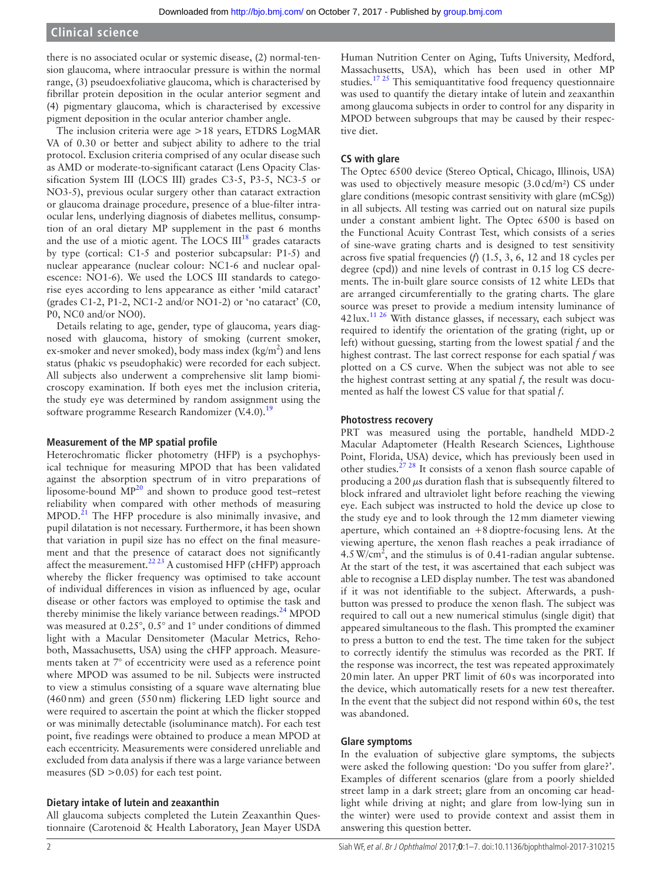### **Clinical science**

there is no associated ocular or systemic disease, (2) normal-tension glaucoma, where intraocular pressure is within the normal range, (3) pseudoexfoliative glaucoma, which is characterised by fibrillar protein deposition in the ocular anterior segment and (4) pigmentary glaucoma, which is characterised by excessive pigment deposition in the ocular anterior chamber angle.

The inclusion criteria were age >18 years, ETDRS LogMAR VA of 0.30 or better and subject ability to adhere to the trial protocol. Exclusion criteria comprised of any ocular disease such as AMD or moderate-to-significant cataract (Lens Opacity Classification System III (LOCS III) grades C3-5, P3-5, NC3-5 or NO3-5), previous ocular surgery other than cataract extraction or glaucoma drainage procedure, presence of a blue-filter intraocular lens, underlying diagnosis of diabetes mellitus, consumption of an oral dietary MP supplement in the past 6 months and the use of a miotic agent. The LOCS  $III^{18}$  $III^{18}$  $III^{18}$  grades cataracts by type (cortical: C1-5 and posterior subcapsular: P1-5) and nuclear appearance (nuclear colour: NC1-6 and nuclear opalescence: NO1-6). We used the LOCS III standards to categorise eyes according to lens appearance as either 'mild cataract' (grades C1-2, P1-2, NC1-2 and/or NO1-2) or 'no cataract' (C0, P0, NC0 and/or NO0).

Details relating to age, gender, type of glaucoma, years diagnosed with glaucoma, history of smoking (current smoker, ex-smoker and never smoked), body mass index ( $\text{kg/m}^2$ ) and lens status (phakic vs pseudophakic) were recorded for each subject. All subjects also underwent a comprehensive slit lamp biomicroscopy examination. If both eyes met the inclusion criteria, the study eye was determined by random assignment using the software programme Research Randomizer  $(V.4.0)$ .<sup>19</sup>

#### **Measurement of the MP spatial profile**

Heterochromatic flicker photometry (HFP) is a psychophysical technique for measuring MPOD that has been validated against the absorption spectrum of in vitro preparations of liposome-bound  $MP^{20}$  and shown to produce good test–retest reliability when compared with other methods of measuring MPOD.<sup>[21](#page-6-0)</sup> The HFP procedure is also minimally invasive, and pupil dilatation is not necessary. Furthermore, it has been shown that variation in pupil size has no effect on the final measurement and that the presence of cataract does not significantly affect the measurement.<sup>2223</sup> A customised HFP (cHFP) approach whereby the flicker frequency was optimised to take account of individual differences in vision as influenced by age, ocular disease or other factors was employed to optimise the task and thereby minimise the likely variance between readings. $^{24}$  MPOD was measured at 0.25°, 0.5° and 1° under conditions of dimmed light with a Macular Densitometer (Macular Metrics, Rehoboth, Massachusetts, USA) using the cHFP approach. Measurements taken at 7° of eccentricity were used as a reference point where MPOD was assumed to be nil. Subjects were instructed to view a stimulus consisting of a square wave alternating blue (460nm) and green (550nm) flickering LED light source and were required to ascertain the point at which the flicker stopped or was minimally detectable (isoluminance match). For each test point, five readings were obtained to produce a mean MPOD at each eccentricity. Measurements were considered unreliable and excluded from data analysis if there was a large variance between measures (SD  $>$  0.05) for each test point.

#### **Dietary intake of lutein and zeaxanthin**

All glaucoma subjects completed the Lutein Zeaxanthin Questionnaire (Carotenoid & Health Laboratory, Jean Mayer USDA

Human Nutrition Center on Aging, Tufts University, Medford, Massachusetts, USA), which has been used in other MP studies[.17 25](#page-5-10) This semiquantitative food frequency questionnaire was used to quantify the dietary intake of lutein and zeaxanthin among glaucoma subjects in order to control for any disparity in MPOD between subgroups that may be caused by their respective diet.

#### **CS with glare**

The Optec 6500 device (Stereo Optical, Chicago, Illinois, USA) was used to objectively measure mesopic (3.0cd/m²) CS under glare conditions (mesopic contrast sensitivity with glare (mCSg)) in all subjects. All testing was carried out on natural size pupils under a constant ambient light. The Optec 6500 is based on the Functional Acuity Contrast Test, which consists of a series of sine-wave grating charts and is designed to test sensitivity across five spatial frequencies (*f*) (1.5, 3, 6, 12 and 18 cycles per degree (cpd)) and nine levels of contrast in 0.15 log CS decrements. The in-built glare source consists of 12 white LEDs that are arranged circumferentially to the grating charts. The glare source was preset to provide a medium intensity luminance of  $42 \text{lux.}^{11\,26}$  With distance glasses, if necessary, each subject was required to identify the orientation of the grating (right, up or left) without guessing, starting from the lowest spatial *f* and the highest contrast. The last correct response for each spatial *f* was plotted on a CS curve. When the subject was not able to see the highest contrast setting at any spatial *f*, the result was documented as half the lowest CS value for that spatial *f*.

#### **Photostress recovery**

PRT was measured using the portable, handheld MDD-2 Macular Adaptometer (Health Research Sciences, Lighthouse Point, Florida, USA) device, which has previously been used in other studies.<sup>27</sup> <sup>28</sup> It consists of a xenon flash source capable of producing a 200  $\mu$ s duration flash that is subsequently filtered to block infrared and ultraviolet light before reaching the viewing eye. Each subject was instructed to hold the device up close to the study eye and to look through the 12mm diameter viewing aperture, which contained an +8dioptre-focusing lens. At the viewing aperture, the xenon flash reaches a peak irradiance of  $4.5 \text{ W/cm}^2$ , and the stimulus is of 0.41-radian angular subtense. At the start of the test, it was ascertained that each subject was able to recognise a LED display number. The test was abandoned if it was not identifiable to the subject. Afterwards, a pushbutton was pressed to produce the xenon flash. The subject was required to call out a new numerical stimulus (single digit) that appeared simultaneous to the flash. This prompted the examiner to press a button to end the test. The time taken for the subject to correctly identify the stimulus was recorded as the PRT. If the response was incorrect, the test was repeated approximately 20min later. An upper PRT limit of 60s was incorporated into the device, which automatically resets for a new test thereafter. In the event that the subject did not respond within 60s, the test was abandoned.

#### **Glare symptoms**

In the evaluation of subjective glare symptoms, the subjects were asked the following question: 'Do you suffer from glare?'. Examples of different scenarios (glare from a poorly shielded street lamp in a dark street; glare from an oncoming car headlight while driving at night; and glare from low-lying sun in the winter) were used to provide context and assist them in answering this question better.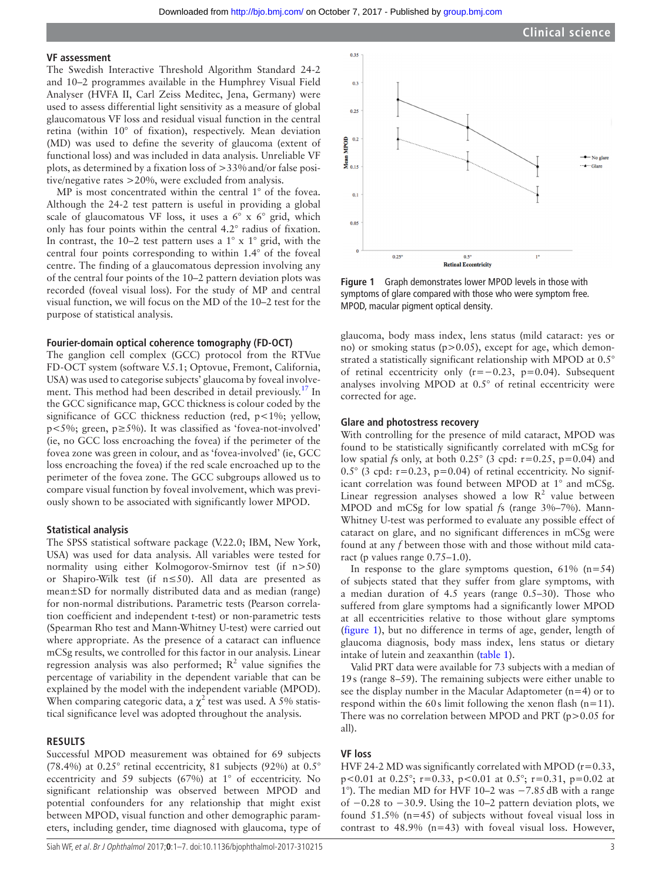#### **VF assessment**

The Swedish Interactive Threshold Algorithm Standard 24-2 and 10–2 programmes available in the Humphrey Visual Field Analyser (HVFA II, Carl Zeiss Meditec, Jena, Germany) were used to assess differential light sensitivity as a measure of global glaucomatous VF loss and residual visual function in the central retina (within 10° of fixation), respectively. Mean deviation (MD) was used to define the severity of glaucoma (extent of functional loss) and was included in data analysis. Unreliable VF plots, as determined by a fixation loss of >33%and/or false positive/negative rates >20%, were excluded from analysis.

MP is most concentrated within the central 1° of the fovea. Although the 24-2 test pattern is useful in providing a global scale of glaucomatous VF loss, it uses a 6° x 6° grid, which only has four points within the central 4.2° radius of fixation. In contrast, the 10–2 test pattern uses a 1° x 1° grid, with the central four points corresponding to within 1.4° of the foveal centre. The finding of a glaucomatous depression involving any of the central four points of the 10–2 pattern deviation plots was recorded (foveal visual loss). For the study of MP and central visual function, we will focus on the MD of the 10–2 test for the purpose of statistical analysis.

#### **Fourier-domain optical coherence tomography (FD-OCT)**

The ganglion cell complex (GCC) protocol from the RTVue FD-OCT system (software V.5.1; Optovue, Fremont, California, USA) was used to categorise subjects' glaucoma by foveal involvement. This method had been described in detail previously.<sup>17</sup> In the GCC significance map, GCC thickness is colour coded by the significance of GCC thickness reduction (red, p<1%; yellow, p<5%; green, p≥5%). It was classified as 'fovea-not-involved' (ie, no GCC loss encroaching the fovea) if the perimeter of the fovea zone was green in colour, and as 'fovea-involved' (ie, GCC loss encroaching the fovea) if the red scale encroached up to the perimeter of the fovea zone. The GCC subgroups allowed us to compare visual function by foveal involvement, which was previously shown to be associated with significantly lower MPOD.

#### **Statistical analysis**

The SPSS statistical software package (V.22.0; IBM, New York, USA) was used for data analysis. All variables were tested for normality using either Kolmogorov-Smirnov test (if n>50) or Shapiro-Wilk test (if n≤50). All data are presented as mean±SD for normally distributed data and as median (range) for non-normal distributions. Parametric tests (Pearson correlation coefficient and independent t-test) or non-parametric tests (Spearman Rho test and Mann-Whitney U-test) were carried out where appropriate. As the presence of a cataract can influence mCSg results, we controlled for this factor in our analysis. Linear regression analysis was also performed;  $R^2$  value signifies the percentage of variability in the dependent variable that can be explained by the model with the independent variable (MPOD). When comparing categoric data, a  $\chi^2$  test was used. A 5% statistical significance level was adopted throughout the analysis.

#### **Results**

Successful MPOD measurement was obtained for 69 subjects (78.4%) at  $0.25^{\circ}$  retinal eccentricity, 81 subjects (92%) at  $0.5^{\circ}$ eccentricity and 59 subjects (67%) at 1° of eccentricity. No significant relationship was observed between MPOD and potential confounders for any relationship that might exist between MPOD, visual function and other demographic parameters, including gender, time diagnosed with glaucoma, type of



<span id="page-2-0"></span>**Figure 1** Graph demonstrates lower MPOD levels in those with symptoms of glare compared with those who were symptom free. MPOD, macular pigment optical density.

glaucoma, body mass index, lens status (mild cataract: yes or no) or smoking status (p>0.05), except for age, which demonstrated a statistically significant relationship with MPOD at 0.5° of retinal eccentricity only (r=−0.23, p=0.04). Subsequent analyses involving MPOD at 0.5° of retinal eccentricity were corrected for age.

#### **Glare and photostress recovery**

With controlling for the presence of mild cataract, MPOD was found to be statistically significantly correlated with mCSg for low spatial *f*s only, at both 0.25° (3 cpd: r=0.25, p=0.04) and  $0.5^{\circ}$  (3 cpd: r=0.23, p=0.04) of retinal eccentricity. No significant correlation was found between MPOD at 1° and mCSg. Linear regression analyses showed a low  $R^2$  value between MPOD and mCSg for low spatial *f*s (range 3%–7%). Mann-Whitney U-test was performed to evaluate any possible effect of cataract on glare, and no significant differences in mCSg were found at any *f* between those with and those without mild cataract (p values range 0.75–1.0).

In response to the glare symptoms question,  $61\%$  (n=54) of subjects stated that they suffer from glare symptoms, with a median duration of 4.5 years (range 0.5–30). Those who suffered from glare symptoms had a significantly lower MPOD at all eccentricities relative to those without glare symptoms ([figure](#page-2-0) 1), but no difference in terms of age, gender, length of glaucoma diagnosis, body mass index, lens status or dietary intake of lutein and zeaxanthin [\(table](#page-3-0) 1).

Valid PRT data were available for 73 subjects with a median of 19s (range 8–59). The remaining subjects were either unable to see the display number in the Macular Adaptometer  $(n=4)$  or to respond within the 60s limit following the xenon flash  $(n=11)$ . There was no correlation between MPOD and PRT (p>0.05 for all).

#### **VF loss**

HVF 24-2 MD was significantly correlated with MPOD ( $r=0.33$ , p<0.01 at 0.25°; r=0.33, p<0.01 at 0.5°; r=0.31, p=0.02 at 1°). The median MD for HVF 10–2 was −7.85dB with a range of −0.28 to −30.9. Using the 10–2 pattern deviation plots, we found 51.5% (n=45) of subjects without foveal visual loss in contrast to 48.9% (n=43) with foveal visual loss. However,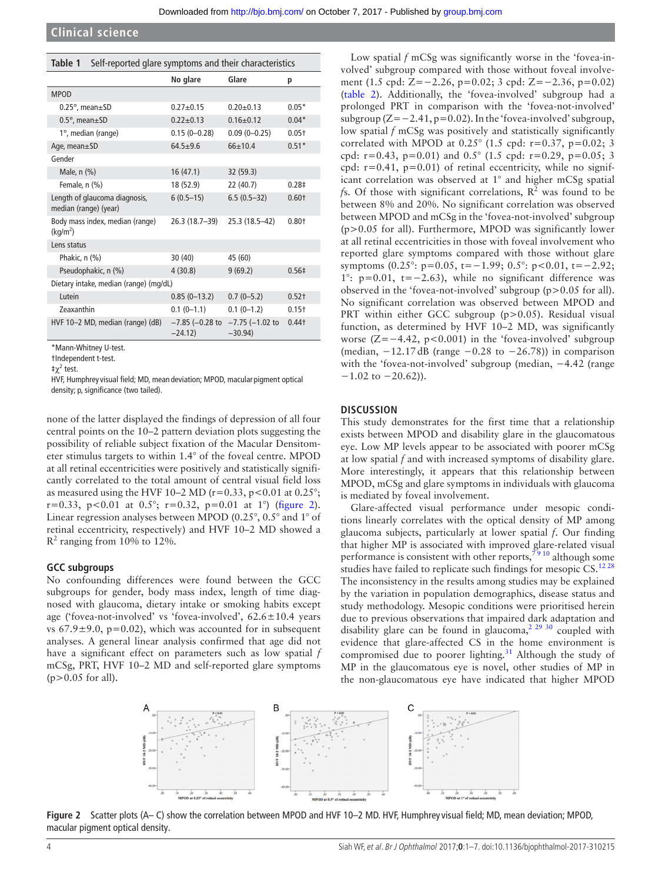<span id="page-3-0"></span>

|       | <b>Table 1</b> Self-reported glare symptoms and their characteristics |       |  |
|-------|-----------------------------------------------------------------------|-------|--|
|       | No glare                                                              | Glare |  |
| MDOD. |                                                                       |       |  |

| <b>MPOD</b>                                             |                                   |                                   |                     |
|---------------------------------------------------------|-----------------------------------|-----------------------------------|---------------------|
| $0.25^{\circ}$ , mean $\pm$ SD                          | $0.27 + 0.15$                     | $0.20 + 0.13$                     | $0.05*$             |
| $0.5^\circ$ , mean $\pm$ SD                             | $0.22 + 0.13$                     | $0.16 \pm 0.12$                   | $0.04*$             |
| 1°, median (range)                                      | $0.15(0 - 0.28)$                  | $0.09(0 - 0.25)$                  | $0.05+$             |
| Age, mean $\pm$ SD                                      | $64.5 + 9.6$                      | $66+10.4$                         | $0.51*$             |
| Gender                                                  |                                   |                                   |                     |
| Male, $n$ $(\%)$                                        | 16(47.1)                          | 32(59.3)                          |                     |
| Female, n (%)                                           | 18 (52.9)                         | 22 (40.7)                         | 0.28 <sup>‡</sup>   |
| Length of glaucoma diagnosis,<br>median (range) (year)  | $6(0.5-15)$                       | $6.5(0.5-32)$                     | $0.60+$             |
| Body mass index, median (range)<br>(kq/m <sup>2</sup> ) | 26.3 (18.7–39)                    | 25.3 (18.5–42)                    | $0.80+$             |
| Lens status                                             |                                   |                                   |                     |
| Phakic, $n$ $(\%)$                                      | 30(40)                            | 45 (60)                           |                     |
| Pseudophakic, n (%)                                     | 4(30.8)                           | 9(69.2)                           | $0.56 \pm$          |
| Dietary intake, median (range) (mg/dL)                  |                                   |                                   |                     |
| Lutein                                                  | $0.85(0-13.2)$                    | $0.7(0-5.2)$                      | $0.52+$             |
| <b>Zeaxanthin</b>                                       | $0.1(0-1.1)$                      | $0.1(0-1.2)$                      | $0.15+$             |
| HVF 10-2 MD, median (range) (dB)                        | $-7.85$ ( $-0.28$ to<br>$-24.12)$ | $-7.75$ ( $-1.02$ to<br>$-30.94)$ | $0.44$ <sup>+</sup> |
|                                                         |                                   |                                   |                     |

\*Mann-Whitney U-test. †Independent t-test.

 $\ddagger \chi^2$  test.

HVF, Humphrey visual field; MD, mean deviation; MPOD, macular pigment optical density; p, significance (two tailed).

none of the latter displayed the findings of depression of all four central points on the 10–2 pattern deviation plots suggesting the possibility of reliable subject fixation of the Macular Densitometer stimulus targets to within 1.4° of the foveal centre. MPOD at all retinal eccentricities were positively and statistically significantly correlated to the total amount of central visual field loss as measured using the HVF 10–2 MD ( $r=0.33$ ,  $p<0.01$  at  $0.25^{\circ}$ ; r=0.33, p<0.01 at 0.5°; r=0.32, p=0.01 at 1°) ([figure](#page-3-1) 2). Linear regression analyses between MPOD (0.25°, 0.5° and 1° of retinal eccentricity, respectively) and HVF 10–2 MD showed a  $R<sup>2</sup>$  ranging from 10% to 12%.

#### **GCC subgroups**

No confounding differences were found between the GCC subgroups for gender, body mass index, length of time diagnosed with glaucoma, dietary intake or smoking habits except age ('fovea-not-involved' vs 'fovea-involved', 62.6±10.4 years vs  $67.9 \pm 9.0$ ,  $p=0.02$ ), which was accounted for in subsequent analyses. A general linear analysis confirmed that age did not have a significant effect on parameters such as low spatial *f* mCSg, PRT, HVF 10–2 MD and self-reported glare symptoms  $(p>0.05$  for all).

Low spatial *f* mCSg was significantly worse in the 'fovea-involved' subgroup compared with those without foveal involvement (1.5 cpd: Z=−2.26, p=0.02; 3 cpd: Z=−2.36, p=0.02) ([table](#page-4-0) 2). Additionally, the 'fovea-involved' subgroup had a prolonged PRT in comparison with the 'fovea-not-involved' subgroup (Z=−2.41, p=0.02). In the 'fovea-involved' subgroup, low spatial *f* mCSg was positively and statistically significantly correlated with MPOD at  $0.25^{\circ}$  (1.5 cpd: r=0.37, p=0.02; 3 cpd:  $r=0.43$ ,  $p=0.01$ ) and  $0.5^{\circ}$  (1.5 cpd:  $r=0.29$ ,  $p=0.05$ ; 3 cpd:  $r=0.41$ ,  $p=0.01$ ) of retinal eccentricity, while no significant correlation was observed at 1° and higher mCSg spatial *fs.* Of those with significant correlations,  $R^2$  was found to be between 8% and 20%. No significant correlation was observed between MPOD and mCSg in the 'fovea-not-involved' subgroup (p>0.05 for all). Furthermore, MPOD was significantly lower at all retinal eccentricities in those with foveal involvement who reported glare symptoms compared with those without glare symptoms (0.25°: p=0.05, t=−1.99; 0.5°: p<0.01, t=−2.92; 1°: p=0.01, t=−2.63), while no significant difference was observed in the 'fovea-not-involved' subgroup (p>0.05 for all). No significant correlation was observed between MPOD and PRT within either GCC subgroup (p>0.05). Residual visual function, as determined by HVF 10–2 MD, was significantly worse (Z=−4.42, p<0.001) in the 'fovea-involved' subgroup (median,  $-12.17$ dB (range  $-0.28$  to  $-26.78$ )) in comparison with the 'fovea-not-involved' subgroup (median, -4.42 (range  $-1.02$  to  $-20.62$ )).

#### **Discussion**

This study demonstrates for the first time that a relationship exists between MPOD and disability glare in the glaucomatous eye. Low MP levels appear to be associated with poorer mCSg at low spatial *f* and with increased symptoms of disability glare. More interestingly, it appears that this relationship between MPOD, mCSg and glare symptoms in individuals with glaucoma is mediated by foveal involvement.

Glare-affected visual performance under mesopic conditions linearly correlates with the optical density of MP among glaucoma subjects, particularly at lower spatial *f*. Our finding that higher MP is associated with improved glare-related visual performance is consistent with other reports,  $\overline{7910}$  although some studies have failed to replicate such findings for mesopic CS.<sup>1228</sup> The inconsistency in the results among studies may be explained by the variation in population demographics, disease status and study methodology. Mesopic conditions were prioritised herein due to previous observations that impaired dark adaptation and disability glare can be found in glaucoma,<sup>2 29 30</sup> coupled with evidence that glare-affected CS in the home environment is compromised due to poorer lighting.<sup>[31](#page-6-4)</sup> Although the study of MP in the glaucomatous eye is novel, other studies of MP in the non-glaucomatous eye have indicated that higher MPOD

<span id="page-3-1"></span>

**Figure 2** Scatter plots (A– C) show the correlation between MPOD and HVF 10–2 MD. HVF, Humphrey visual field; MD, mean deviation; MPOD, macular pigment optical density.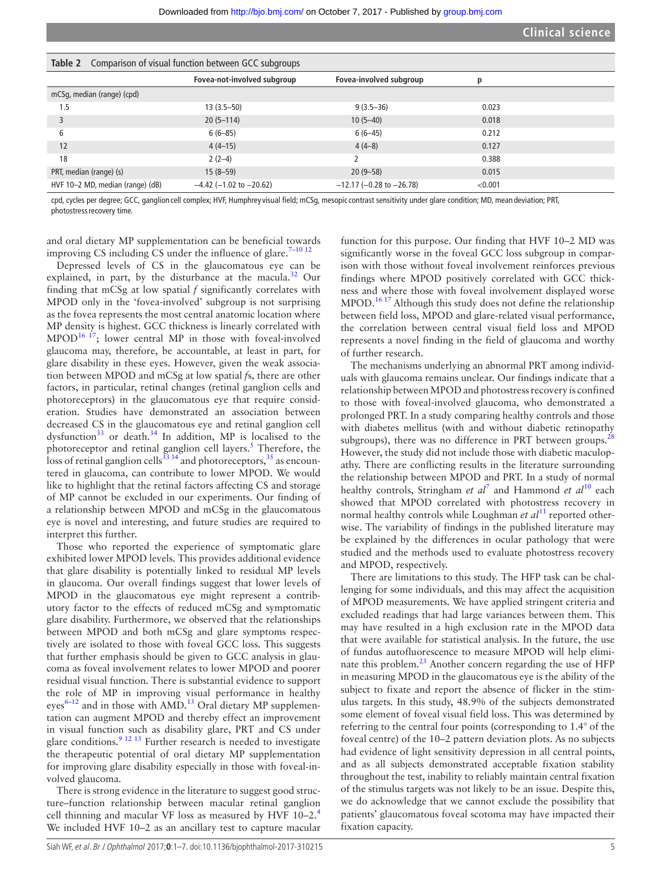<span id="page-4-0"></span>

| <b>Table 2</b> Comparison of visual function between GCC subgroups |                              |                                  |         |  |
|--------------------------------------------------------------------|------------------------------|----------------------------------|---------|--|
|                                                                    | Fovea-not-involved subgroup  | Fovea-involved subgroup          | р       |  |
| mCSq, median (range) (cpd)                                         |                              |                                  |         |  |
| 1.5                                                                | $13(3.5 - 50)$               | $9(3.5-36)$                      | 0.023   |  |
|                                                                    | $20(5-114)$                  | $10(5-40)$                       | 0.018   |  |
| 6                                                                  | $6(6-85)$                    | $6(6-45)$                        | 0.212   |  |
| 12                                                                 | $4(4-15)$                    | $4(4-8)$                         | 0.127   |  |
| 18                                                                 | $2(2-4)$                     |                                  | 0.388   |  |
| PRT, median (range) (s)                                            | $15(8-59)$                   | $20(9-58)$                       | 0.015   |  |
| HVF 10-2 MD, median (range) (dB)                                   | $-4.42$ (-1.02 to $-20.62$ ) | $-12.17$ ( $-0.28$ to $-26.78$ ) | < 0.001 |  |

cpd, cycles per degree; GCC, ganglion cell complex; HVF, Humphrey visual field; mCSg, mesopiccontrast sensitivity under glare condition; MD, mean deviation; PRT, photostress recovery time.

and oral dietary MP supplementation can be beneficial towards improving CS including CS under the influence of glare.<sup>7-10 12</sup>

Depressed levels of CS in the glaucomatous eye can be explained, in part, by the disturbance at the macula.<sup>32</sup> Our finding that mCSg at low spatial *f* significantly correlates with MPOD only in the 'fovea-involved' subgroup is not surprising as the fovea represents the most central anatomic location where MP density is highest. GCC thickness is linearly correlated with  $MPOD<sup>16 17</sup>$ ; lower central MP in those with foveal-involved glaucoma may, therefore, be accountable, at least in part, for glare disability in these eyes. However, given the weak association between MPOD and mCSg at low spatial *f*s, there are other factors, in particular, retinal changes (retinal ganglion cells and photoreceptors) in the glaucomatous eye that require consideration. Studies have demonstrated an association between decreased CS in the glaucomatous eye and retinal ganglion cell dysfunction $33$  or death. $34$  In addition, MP is localised to the photoreceptor and retinal ganglion cell layers.<sup>5</sup> Therefore, the loss of retinal ganglion cells<sup>33</sup> 34 and photoreceptors,  $35$  as encountered in glaucoma, can contribute to lower MPOD. We would like to highlight that the retinal factors affecting CS and storage of MP cannot be excluded in our experiments. Our finding of a relationship between MPOD and mCSg in the glaucomatous eye is novel and interesting, and future studies are required to interpret this further.

Those who reported the experience of symptomatic glare exhibited lower MPOD levels. This provides additional evidence that glare disability is potentially linked to residual MP levels in glaucoma. Our overall findings suggest that lower levels of MPOD in the glaucomatous eye might represent a contributory factor to the effects of reduced mCSg and symptomatic glare disability. Furthermore, we observed that the relationships between MPOD and both mCSg and glare symptoms respectively are isolated to those with foveal GCC loss. This suggests that further emphasis should be given to GCC analysis in glaucoma as foveal involvement relates to lower MPOD and poorer residual visual function. There is substantial evidence to support the role of MP in improving visual performance in healthy eyes<sup>6-12</sup> and in those with AMD.<sup>13</sup> Oral dietary MP supplementation can augment MPOD and thereby effect an improvement in visual function such as disability glare, PRT and CS under glare conditions. $9^{12}$  13 Further research is needed to investigate the therapeutic potential of oral dietary MP supplementation for improving glare disability especially in those with foveal-involved glaucoma.

There is strong evidence in the literature to suggest good structure–function relationship between macular retinal ganglion cell thinning and macular VF loss as measured by HVF 10–2[.4](#page-5-2) We included HVF 10-2 as an ancillary test to capture macular

function for this purpose. Our finding that HVF 10–2 MD was significantly worse in the foveal GCC loss subgroup in comparison with those without foveal involvement reinforces previous findings where MPOD positively correlated with GCC thickness and where those with foveal involvement displayed worse MPOD.<sup>16 17</sup> Although this study does not define the relationship between field loss, MPOD and glare-related visual performance, the correlation between central visual field loss and MPOD represents a novel finding in the field of glaucoma and worthy of further research.

The mechanisms underlying an abnormal PRT among individuals with glaucoma remains unclear. Our findings indicate that a relationship between MPOD and photostress recovery is confined to those with foveal-involved glaucoma, who demonstrated a prolonged PRT. In a study comparing healthy controls and those with diabetes mellitus (with and without diabetic retinopathy subgroups), there was no difference in PRT between groups. $<sup>2</sup>$ </sup> However, the study did not include those with diabetic maculopathy. There are conflicting results in the literature surrounding the relationship between MPOD and PRT. In a study of normal healthy controls, Stringham *et al*<sup>[7](#page-5-5)</sup> and Hammond *et al*<sup>[10](#page-5-17)</sup> each showed that MPOD correlated with photostress recovery in normal healthy controls while Loughman *et al*<sup>11</sup> reported otherwise. The variability of findings in the published literature may be explained by the differences in ocular pathology that were studied and the methods used to evaluate photostress recovery and MPOD, respectively.

There are limitations to this study. The HFP task can be challenging for some individuals, and this may affect the acquisition of MPOD measurements. We have applied stringent criteria and excluded readings that had large variances between them. This may have resulted in a high exclusion rate in the MPOD data that were available for statistical analysis. In the future, the use of fundus autofluorescence to measure MPOD will help eliminate this problem.<sup>23</sup> Another concern regarding the use of HFP in measuring MPOD in the glaucomatous eye is the ability of the subject to fixate and report the absence of flicker in the stimulus targets. In this study, 48.9% of the subjects demonstrated some element of foveal visual field loss. This was determined by referring to the central four points (corresponding to 1.4° of the foveal centre) of the 10–2 pattern deviation plots. As no subjects had evidence of light sensitivity depression in all central points, and as all subjects demonstrated acceptable fixation stability throughout the test, inability to reliably maintain central fixation of the stimulus targets was not likely to be an issue. Despite this, we do acknowledge that we cannot exclude the possibility that patients' glaucomatous foveal scotoma may have impacted their fixation capacity.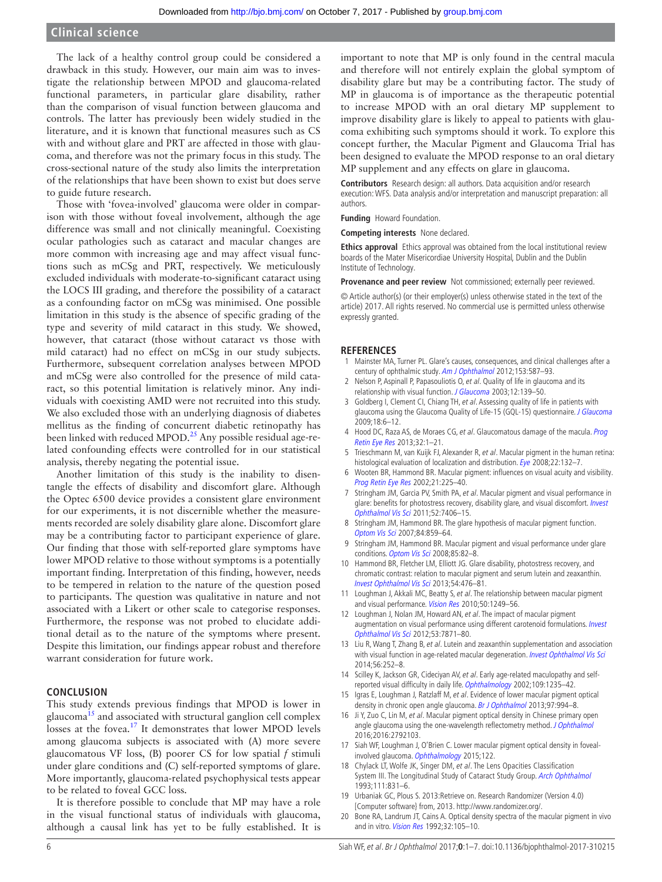### **Clinical science**

The lack of a healthy control group could be considered a drawback in this study. However, our main aim was to investigate the relationship between MPOD and glaucoma-related functional parameters, in particular glare disability, rather than the comparison of visual function between glaucoma and controls. The latter has previously been widely studied in the literature, and it is known that functional measures such as CS with and without glare and PRT are affected in those with glaucoma, and therefore was not the primary focus in this study. The cross-sectional nature of the study also limits the interpretation of the relationships that have been shown to exist but does serve to guide future research.

Those with 'fovea-involved' glaucoma were older in comparison with those without foveal involvement, although the age difference was small and not clinically meaningful. Coexisting ocular pathologies such as cataract and macular changes are more common with increasing age and may affect visual functions such as mCSg and PRT, respectively. We meticulously excluded individuals with moderate-to-significant cataract using the LOCS III grading, and therefore the possibility of a cataract as a confounding factor on mCSg was minimised. One possible limitation in this study is the absence of specific grading of the type and severity of mild cataract in this study. We showed, however, that cataract (those without cataract vs those with mild cataract) had no effect on mCSg in our study subjects. Furthermore, subsequent correlation analyses between MPOD and mCSg were also controlled for the presence of mild cataract, so this potential limitation is relatively minor. Any individuals with coexisting AMD were not recruited into this study. We also excluded those with an underlying diagnosis of diabetes mellitus as the finding of concurrent diabetic retinopathy has been linked with reduced MPOD.<sup>25</sup> Any possible residual age-related confounding effects were controlled for in our statistical analysis, thereby negating the potential issue.

Another limitation of this study is the inability to disentangle the effects of disability and discomfort glare. Although the Optec 6500 device provides a consistent glare environment for our experiments, it is not discernible whether the measurements recorded are solely disability glare alone. Discomfort glare may be a contributing factor to participant experience of glare. Our finding that those with self-reported glare symptoms have lower MPOD relative to those without symptoms is a potentially important finding. Interpretation of this finding, however, needs to be tempered in relation to the nature of the question posed to participants. The question was qualitative in nature and not associated with a Likert or other scale to categorise responses. Furthermore, the response was not probed to elucidate additional detail as to the nature of the symptoms where present. Despite this limitation, our findings appear robust and therefore warrant consideration for future work.

#### **Conclusion**

This study extends previous findings that MPOD is lower in glaucoma<sup>[15](#page-5-9)</sup> and associated with structural ganglion cell complex losses at the fovea.<sup>17</sup> It demonstrates that lower MPOD levels among glaucoma subjects is associated with (A) more severe glaucomatous VF loss, (B) poorer CS for low spatial *f* stimuli under glare conditions and (C) self-reported symptoms of glare. More importantly, glaucoma-related psychophysical tests appear to be related to foveal GCC loss.

It is therefore possible to conclude that MP may have a role in the visual functional status of individuals with glaucoma, although a causal link has yet to be fully established. It is

important to note that MP is only found in the central macula and therefore will not entirely explain the global symptom of disability glare but may be a contributing factor. The study of MP in glaucoma is of importance as the therapeutic potential to increase MPOD with an oral dietary MP supplement to improve disability glare is likely to appeal to patients with glaucoma exhibiting such symptoms should it work. To explore this concept further, the Macular Pigment and Glaucoma Trial has been designed to evaluate the MPOD response to an oral dietary MP supplement and any effects on glare in glaucoma.

**Contributors** Research design: all authors. Data acquisition and/or research execution: WFS. Data analysis and/or interpretation and manuscript preparation: all authors.

**Funding** Howard Foundation.

**Competing interests** None declared.

**Ethics approval** Ethics approval was obtained from the local institutional review boards of the Mater Misericordiae University Hospital, Dublin and the Dublin Institute of Technology.

**Provenance and peer review** Not commissioned; externally peer reviewed.

© Article author(s) (or their employer(s) unless otherwise stated in the text of the article) 2017. All rights reserved. No commercial use is permitted unless otherwise expressly granted.

#### **References**

- <span id="page-5-0"></span>1 Mainster MA, Turner PL. Glare's causes, consequences, and clinical challenges after a century of ophthalmic study. [Am J Ophthalmol](http://dx.doi.org/10.1016/j.ajo.2012.01.008) 2012;153:587–93.
- <span id="page-5-1"></span>Nelson P, Aspinall P, Papasouliotis O, et al. Quality of life in glaucoma and its relationship with visual function. [J Glaucoma](http://dx.doi.org/10.1097/00061198-200304000-00009) 2003;12:139-50.
- 3 Goldberg I, Clement CI, Chiang TH, et al. Assessing quality of life in patients with glaucoma using the Glaucoma Quality of Life-15 (GQL-15) questionnaire. [J Glaucoma](http://dx.doi.org/10.1097/IJG.0b013e3181752c83) 2009;18:6–12.
- <span id="page-5-2"></span>4 Hood DC, Raza AS, de Moraes CG, et al. Glaucomatous damage of the macula. Prog [Retin Eye Res](http://dx.doi.org/10.1016/j.preteyeres.2012.08.003) 2013;32:1–21.
- <span id="page-5-3"></span>Trieschmann M, van Kuijk FJ, Alexander R, et al. Macular pigment in the human retina: histological evaluation of localization and distribution. [Eye](http://dx.doi.org/10.1038/sj.eye.6702780) 2008;22:132-7.
- <span id="page-5-4"></span>6 Wooten BR, Hammond BR. Macular pigment: influences on visual acuity and visibility. [Prog Retin Eye Res](http://dx.doi.org/10.1016/S1350-9462(02)00003-4) 2002;21:225–40.
- <span id="page-5-5"></span>7 Stringham JM, Garcia PV, Smith PA, et al. Macular pigment and visual performance in glare: benefits for photostress recovery, disability glare, and visual discomfort. *Invest* [Ophthalmol Vis Sci](http://dx.doi.org/10.1167/iovs.10-6699) 2011;52:7406–15.
- 8 Stringham JM, Hammond BR. The glare hypothesis of macular pigment function. [Optom Vis Sci](http://dx.doi.org/10.1097/OPX.0b013e3181559c2b) 2007;84:859–64.
- <span id="page-5-6"></span>9 Stringham JM, Hammond BR. Macular pigment and visual performance under glare conditions. [Optom Vis Sci](http://dx.doi.org/10.1097/OPX.0b013e318162266e) 2008;85:82–8.
- <span id="page-5-17"></span>10 Hammond BR, Fletcher LM, Elliott JG. Glare disability, photostress recovery, and chromatic contrast: relation to macular pigment and serum lutein and zeaxanthin. [Invest Ophthalmol Vis Sci](http://dx.doi.org/10.1167/iovs.12-10411) 2013;54:476–81.
- <span id="page-5-14"></span>11 Loughman J, Akkali MC, Beatty S, et al. The relationship between macular pigment and visual performance. [Vision Res](http://dx.doi.org/10.1016/j.visres.2010.04.009) 2010;50:1249-56.
- <span id="page-5-15"></span>12 Loughman J, Nolan JM, Howard AN, et al. The impact of macular pigment augmentation on visual performance using different carotenoid formulations. Invest [Ophthalmol Vis Sci](http://dx.doi.org/10.1167/iovs.12-10690) 2012;53:7871–80.
- <span id="page-5-8"></span>13 Liu R, Wang T, Zhang B, et al. Lutein and zeaxanthin supplementation and association with visual function in age-related macular degeneration. [Invest Ophthalmol Vis Sci](http://dx.doi.org/10.1167/iovs.14-15553) 2014;56:252–8.
- <span id="page-5-7"></span>14 Scilley K, Jackson GR, Cideciyan AV, et al. Early age-related maculopathy and selfreported visual difficulty in daily life. Ophthalmology 2002;109:1235–42.
- <span id="page-5-9"></span>15 Igras E, Loughman J, Ratzlaff M, et al. Evidence of lower macular pigment optical density in chronic open angle glaucoma. [Br J Ophthalmol](http://dx.doi.org/10.1136/bjophthalmol-2013-303153) 2013;97:994–8.
- <span id="page-5-16"></span>16 Ji Y, Zuo C, Lin M, et al. Macular pigment optical density in Chinese primary open angle glaucoma using the one-wavelength reflectometry method. [J Ophthalmol](http://dx.doi.org/10.1155/2016/2792103) 2016;2016:2792103.
- <span id="page-5-10"></span>17 Siah WF, Loughman J, O'Brien C. Lower macular pigment optical density in foveal-involved glaucoma. [Ophthalmology](http://dx.doi.org/10.1016/j.ophtha.2015.06.028) 2015;122.
- <span id="page-5-11"></span>18 Chylack LT, Wolfe JK, Singer DM, et al. The Lens Opacities Classification System III. The Longitudinal Study of Cataract Study Group. Arch Ophthalmol 1993;111:831–6.
- <span id="page-5-12"></span>19 Urbaniak GC, Plous S. 2013:Retrieve on. Research Randomizer (Version 4.0) [Computer software} from, 2013. [http://www.randomizer.org/.](http://www.randomizer.org/)
- <span id="page-5-13"></span>20 Bone RA, Landrum JT, Cains A. Optical density spectra of the macular pigment in vivo and in vitro. Vision Res 1992;32:105-10.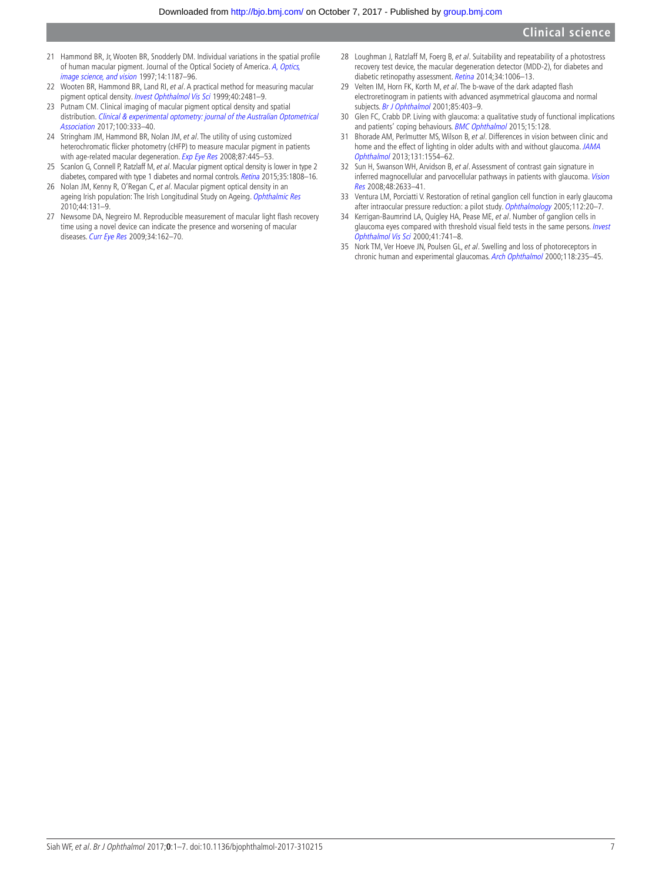- <span id="page-6-0"></span>21 Hammond BR, Jr, Wooten BR, Snodderly DM. Individual variations in the spatial profile of human macular pigment. Journal of the Optical Society of America. A, Optics, image science, and vision 1997;14:1187–96.
- <span id="page-6-1"></span>22 Wooten BR, Hammond BR, Land RI, et al. A practical method for measuring macular pigment optical density. *Invest Ophthalmol Vis Sci* 1999;40:2481-9.
- <span id="page-6-10"></span>23 Putnam CM. Clinical imaging of macular pigment optical density and spatial distribution. Clinical & experimental optometry: journal of the Australian Optometrical Association 2017;100:333–40.
- <span id="page-6-2"></span>24 Stringham JM, Hammond BR, Nolan JM, et al. The utility of using customized heterochromatic flicker photometry (cHFP) to measure macular pigment in patients with age-related macular degeneration. [Exp Eye Res](http://dx.doi.org/10.1016/j.exer.2008.08.005) 2008;87:445-53.
- <span id="page-6-11"></span>25 Scanlon G, Connell P, Ratzlaff M, et al. Macular pigment optical density is lower in type 2 diabetes, compared with type 1 diabetes and normal controls. [Retina](http://dx.doi.org/10.1097/IAE.0000000000000551) 2015;35:1808-16.
- 26 Nolan JM, Kenny R, O'Regan C, et al. Macular pigment optical density in an ageing Irish population: The Irish Longitudinal Study on Ageing. [Ophthalmic Res](http://dx.doi.org/10.1159/000315531) 2010;44:131–9.
- <span id="page-6-3"></span>27 Newsome DA, Negreiro M. Reproducible measurement of macular light flash recovery time using a novel device can indicate the presence and worsening of macular diseases. [Curr Eye Res](http://dx.doi.org/10.1080/02713680802647654) 2009;34:162-70.
- <span id="page-6-9"></span>28 Loughman J, Ratzlaff M, Foerg B, et al. Suitability and repeatability of a photostress recovery test device, the macular degeneration detector (MDD-2), for diabetes and diabetic retinopathy assessment. [Retina](http://dx.doi.org/10.1097/IAE.0000000000000021) 2014;34:1006-13.
- 29 Velten IM, Horn FK, Korth M, et al. The b-wave of the dark adapted flash electroretinogram in patients with advanced asymmetrical glaucoma and normal subjects. [Br J Ophthalmol](http://dx.doi.org/10.1136/bjo.85.4.403) 2001;85:403-9.
- 30 Glen FC, Crabb DP. Living with glaucoma: a qualitative study of functional implications and patients' coping behaviours. [BMC Ophthalmol](http://dx.doi.org/10.1186/s12886-015-0119-7) 2015;15:128.
- <span id="page-6-4"></span>31 Bhorade AM, Perlmutter MS, Wilson B, et al. Differences in vision between clinic and home and the effect of lighting in older adults with and without glaucoma. JAMA [Ophthalmol](http://dx.doi.org/10.1001/jamaophthalmol.2013.4995) 2013;131:1554–62.
- <span id="page-6-5"></span>32 Sun H, Swanson WH, Arvidson B, et al. Assessment of contrast gain signature in inferred magnocellular and parvocellular pathways in patients with glaucoma. Vision [Res](http://dx.doi.org/10.1016/j.visres.2008.04.008) 2008;48:2633–41.
- <span id="page-6-6"></span>33 Ventura LM, Porciatti V. Restoration of retinal ganglion cell function in early glaucoma after intraocular pressure reduction: a pilot study. [Ophthalmology](http://dx.doi.org/10.1016/j.ophtha.2004.09.002) 2005;112:20-7.
- <span id="page-6-7"></span>34 Kerrigan-Baumrind LA, Quigley HA, Pease ME, et al. Number of ganglion cells in glaucoma eyes compared with threshold visual field tests in the same persons. Invest Ophthalmol Vis Sci 2000;41:741–8.
- <span id="page-6-8"></span>35 Nork TM, Ver Hoeve JN, Poulsen GL, et al. Swelling and loss of photoreceptors in chronic human and experimental glaucomas. [Arch Ophthalmol](http://dx.doi.org/10.1001/archopht.118.2.235) 2000;118:235–45.